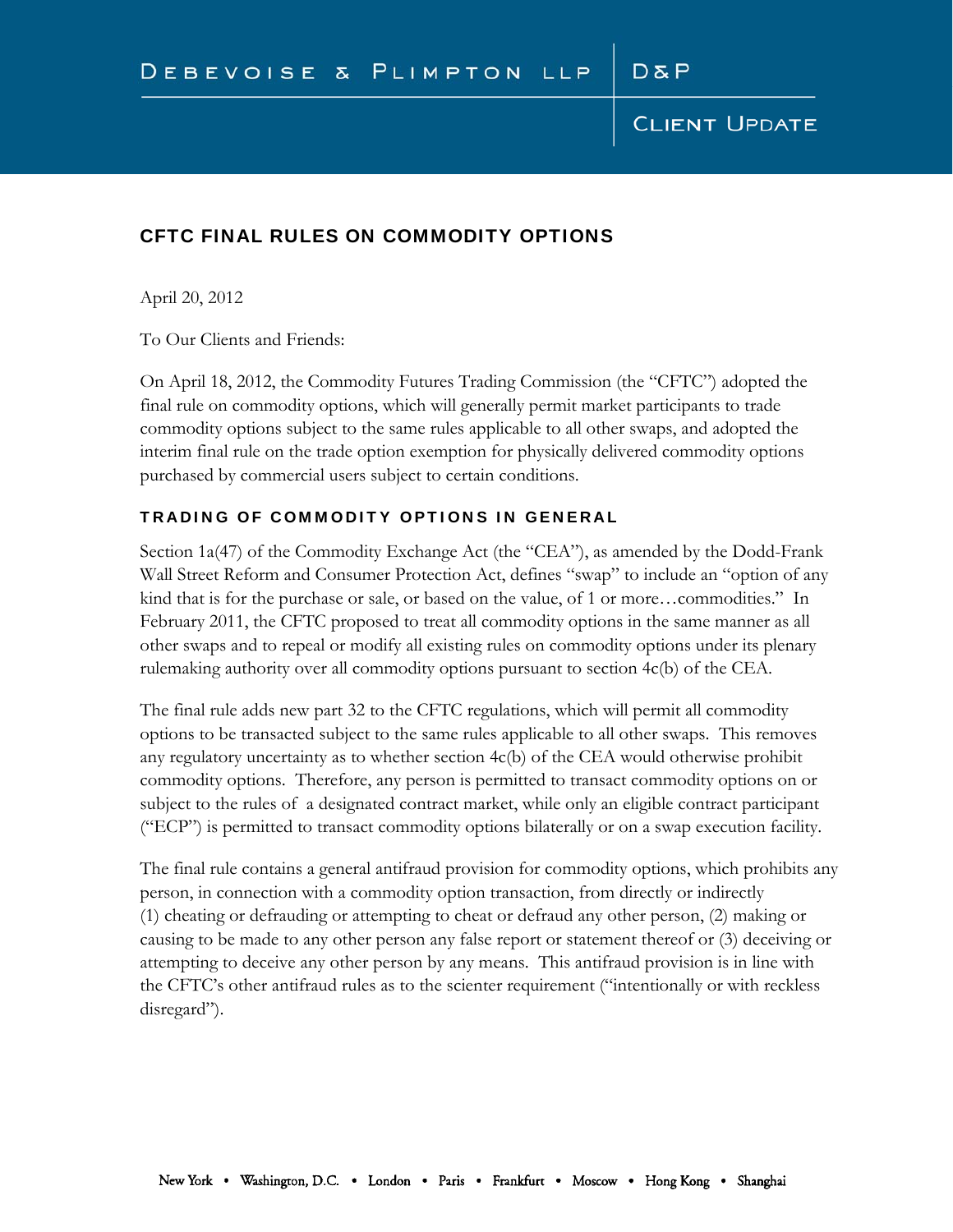### CFTC FINAL RULES ON COMMODITY OPTIONS

April 20, 2012

To Our Clients and Friends:

On April 18, 2012, the Commodity Futures Trading Commission (the "CFTC") adopted the final rule on commodity options, which will generally permit market participants to trade commodity options subject to the same rules applicable to all other swaps, and adopted the interim final rule on the trade option exemption for physically delivered commodity options purchased by commercial users subject to certain conditions.

#### TRADING OF COMMODITY OPTIONS IN GENERAL

Section 1a(47) of the Commodity Exchange Act (the "CEA"), as amended by the Dodd-Frank Wall Street Reform and Consumer Protection Act, defines "swap" to include an "option of any kind that is for the purchase or sale, or based on the value, of 1 or more…commodities." In February 2011, the CFTC proposed to treat all commodity options in the same manner as all other swaps and to repeal or modify all existing rules on commodity options under its plenary rulemaking authority over all commodity options pursuant to section 4c(b) of the CEA.

The final rule adds new part 32 to the CFTC regulations, which will permit all commodity options to be transacted subject to the same rules applicable to all other swaps. This removes any regulatory uncertainty as to whether section  $4c(b)$  of the CEA would otherwise prohibit commodity options. Therefore, any person is permitted to transact commodity options on or subject to the rules of a designated contract market, while only an eligible contract participant ("ECP") is permitted to transact commodity options bilaterally or on a swap execution facility.

The final rule contains a general antifraud provision for commodity options, which prohibits any person, in connection with a commodity option transaction, from directly or indirectly (1) cheating or defrauding or attempting to cheat or defraud any other person, (2) making or causing to be made to any other person any false report or statement thereof or (3) deceiving or attempting to deceive any other person by any means. This antifraud provision is in line with the CFTC's other antifraud rules as to the scienter requirement ("intentionally or with reckless disregard").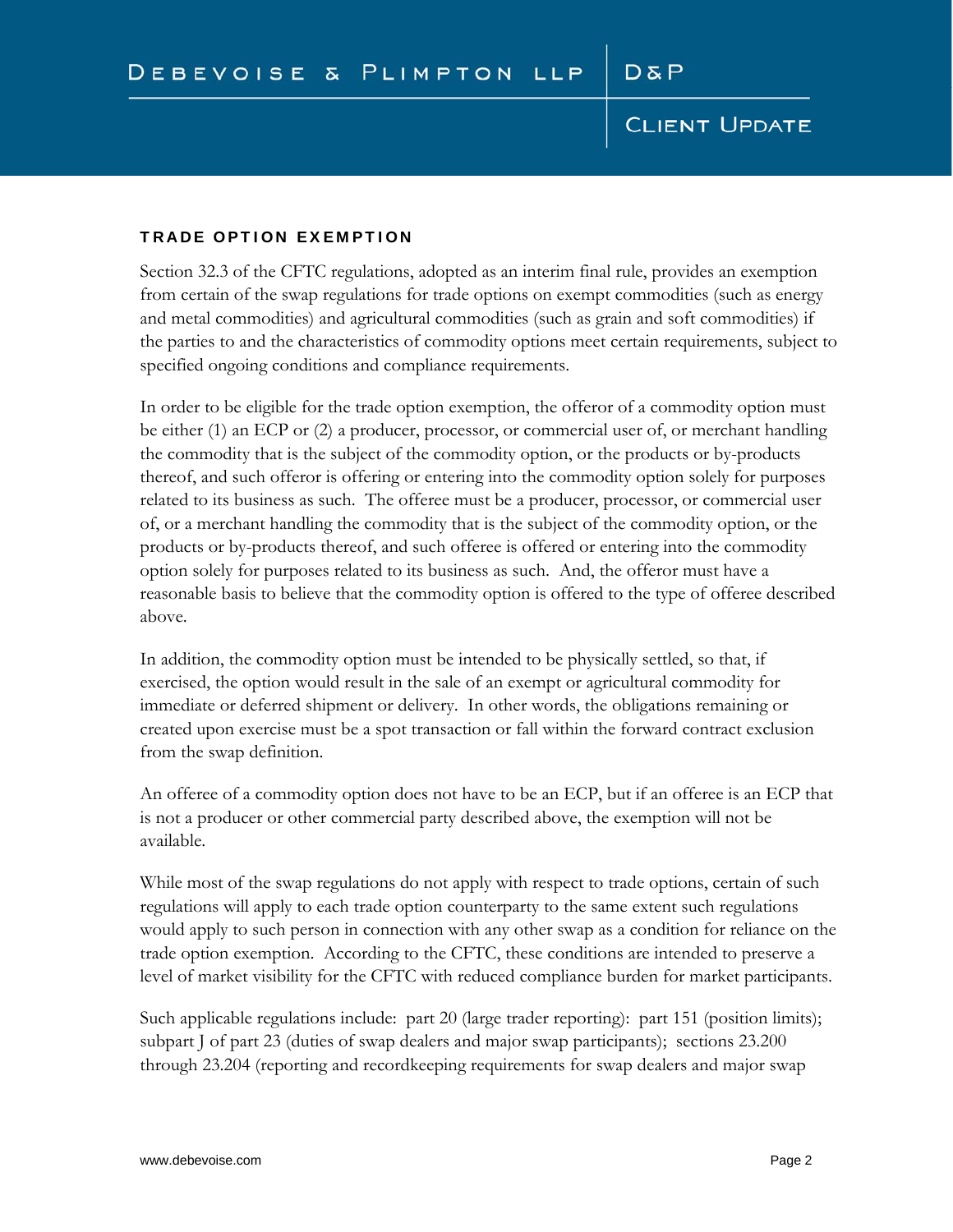#### TRADE OPTION EXEMPTION

Section 32.3 of the CFTC regulations, adopted as an interim final rule, provides an exemption from certain of the swap regulations for trade options on exempt commodities (such as energy and metal commodities) and agricultural commodities (such as grain and soft commodities) if the parties to and the characteristics of commodity options meet certain requirements, subject to specified ongoing conditions and compliance requirements.

In order to be eligible for the trade option exemption, the offeror of a commodity option must be either (1) an ECP or (2) a producer, processor, or commercial user of, or merchant handling the commodity that is the subject of the commodity option, or the products or by-products thereof, and such offeror is offering or entering into the commodity option solely for purposes related to its business as such. The offeree must be a producer, processor, or commercial user of, or a merchant handling the commodity that is the subject of the commodity option, or the products or by-products thereof, and such offeree is offered or entering into the commodity option solely for purposes related to its business as such. And, the offeror must have a reasonable basis to believe that the commodity option is offered to the type of offeree described above.

In addition, the commodity option must be intended to be physically settled, so that, if exercised, the option would result in the sale of an exempt or agricultural commodity for immediate or deferred shipment or delivery. In other words, the obligations remaining or created upon exercise must be a spot transaction or fall within the forward contract exclusion from the swap definition.

An offeree of a commodity option does not have to be an ECP, but if an offeree is an ECP that is not a producer or other commercial party described above, the exemption will not be available.

While most of the swap regulations do not apply with respect to trade options, certain of such regulations will apply to each trade option counterparty to the same extent such regulations would apply to such person in connection with any other swap as a condition for reliance on the trade option exemption. According to the CFTC, these conditions are intended to preserve a level of market visibility for the CFTC with reduced compliance burden for market participants.

Such applicable regulations include: part 20 (large trader reporting): part 151 (position limits); subpart J of part 23 (duties of swap dealers and major swap participants); sections 23.200 through 23.204 (reporting and recordkeeping requirements for swap dealers and major swap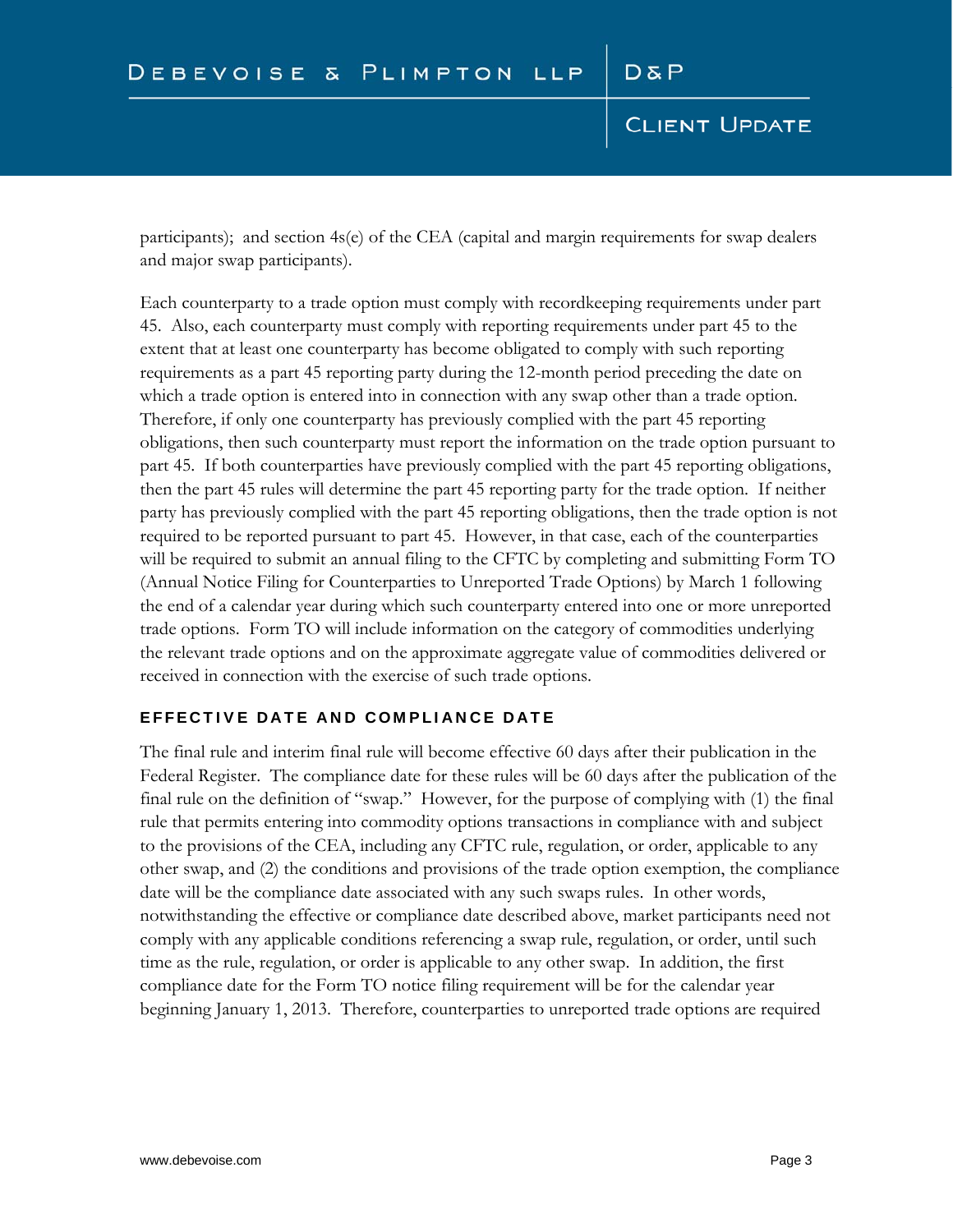participants); and section 4s(e) of the CEA (capital and margin requirements for swap dealers and major swap participants).

Each counterparty to a trade option must comply with recordkeeping requirements under part 45. Also, each counterparty must comply with reporting requirements under part 45 to the extent that at least one counterparty has become obligated to comply with such reporting requirements as a part 45 reporting party during the 12-month period preceding the date on which a trade option is entered into in connection with any swap other than a trade option. Therefore, if only one counterparty has previously complied with the part 45 reporting obligations, then such counterparty must report the information on the trade option pursuant to part 45. If both counterparties have previously complied with the part 45 reporting obligations, then the part 45 rules will determine the part 45 reporting party for the trade option. If neither party has previously complied with the part 45 reporting obligations, then the trade option is not required to be reported pursuant to part 45. However, in that case, each of the counterparties will be required to submit an annual filing to the CFTC by completing and submitting Form TO (Annual Notice Filing for Counterparties to Unreported Trade Options) by March 1 following the end of a calendar year during which such counterparty entered into one or more unreported trade options. Form TO will include information on the category of commodities underlying the relevant trade options and on the approximate aggregate value of commodities delivered or received in connection with the exercise of such trade options.

#### EFFECTIVE DATE AND COMPLIANCE DATE

The final rule and interim final rule will become effective 60 days after their publication in the Federal Register. The compliance date for these rules will be 60 days after the publication of the final rule on the definition of "swap." However, for the purpose of complying with (1) the final rule that permits entering into commodity options transactions in compliance with and subject to the provisions of the CEA, including any CFTC rule, regulation, or order, applicable to any other swap, and (2) the conditions and provisions of the trade option exemption, the compliance date will be the compliance date associated with any such swaps rules. In other words, notwithstanding the effective or compliance date described above, market participants need not comply with any applicable conditions referencing a swap rule, regulation, or order, until such time as the rule, regulation, or order is applicable to any other swap. In addition, the first compliance date for the Form TO notice filing requirement will be for the calendar year beginning January 1, 2013. Therefore, counterparties to unreported trade options are required